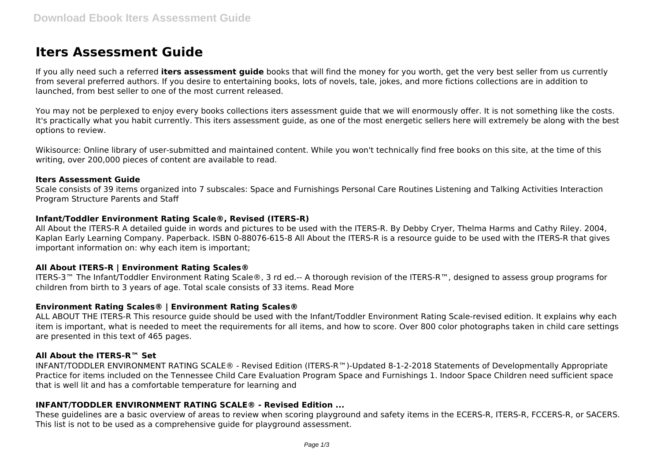# **Iters Assessment Guide**

If you ally need such a referred **iters assessment guide** books that will find the money for you worth, get the very best seller from us currently from several preferred authors. If you desire to entertaining books, lots of novels, tale, jokes, and more fictions collections are in addition to launched, from best seller to one of the most current released.

You may not be perplexed to enjoy every books collections iters assessment quide that we will enormously offer. It is not something like the costs. It's practically what you habit currently. This iters assessment guide, as one of the most energetic sellers here will extremely be along with the best options to review.

Wikisource: Online library of user-submitted and maintained content. While you won't technically find free books on this site, at the time of this writing, over 200,000 pieces of content are available to read.

#### **Iters Assessment Guide**

Scale consists of 39 items organized into 7 subscales: Space and Furnishings Personal Care Routines Listening and Talking Activities Interaction Program Structure Parents and Staff

## **Infant/Toddler Environment Rating Scale®, Revised (ITERS-R)**

All About the ITERS-R A detailed guide in words and pictures to be used with the ITERS-R. By Debby Cryer, Thelma Harms and Cathy Riley. 2004, Kaplan Early Learning Company. Paperback. ISBN 0-88076-615-8 All About the ITERS-R is a resource guide to be used with the ITERS-R that gives important information on: why each item is important;

## **All About ITERS-R | Environment Rating Scales®**

ITERS-3™ The Infant/Toddler Environment Rating Scale®, 3 rd ed.-- A thorough revision of the ITERS-R™, designed to assess group programs for children from birth to 3 years of age. Total scale consists of 33 items. Read More

## **Environment Rating Scales® | Environment Rating Scales®**

ALL ABOUT THE ITERS-R This resource guide should be used with the Infant/Toddler Environment Rating Scale-revised edition. It explains why each item is important, what is needed to meet the requirements for all items, and how to score. Over 800 color photographs taken in child care settings are presented in this text of 465 pages.

## **All About the ITERS-R™ Set**

INFANT/TODDLER ENVIRONMENT RATING SCALE® - Revised Edition (ITERS-R™)-Updated 8-1-2-2018 Statements of Developmentally Appropriate Practice for items included on the Tennessee Child Care Evaluation Program Space and Furnishings 1. Indoor Space Children need sufficient space that is well lit and has a comfortable temperature for learning and

# **INFANT/TODDLER ENVIRONMENT RATING SCALE® - Revised Edition ...**

These guidelines are a basic overview of areas to review when scoring playground and safety items in the ECERS-R, ITERS-R, FCCERS-R, or SACERS. This list is not to be used as a comprehensive guide for playground assessment.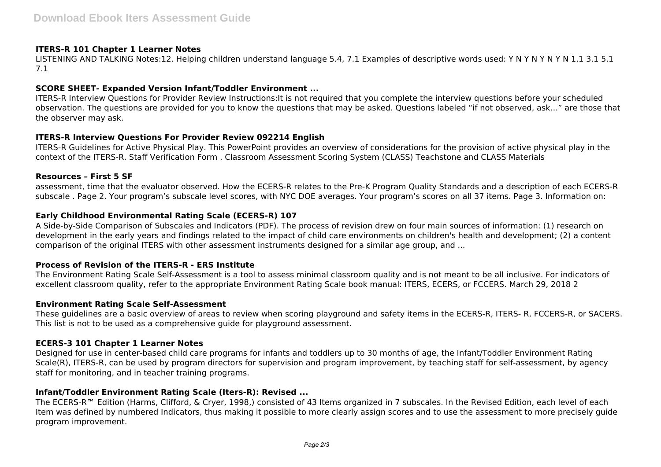## **ITERS-R 101 Chapter 1 Learner Notes**

LISTENING AND TALKING Notes:12. Helping children understand language 5.4, 7.1 Examples of descriptive words used: Y N Y N Y N Y N 1.1 3.1 5.1 7.1

#### **SCORE SHEET- Expanded Version Infant/Toddler Environment ...**

ITERS-R Interview Questions for Provider Review Instructions:It is not required that you complete the interview questions before your scheduled observation. The questions are provided for you to know the questions that may be asked. Questions labeled "if not observed, ask…" are those that the observer may ask.

#### **ITERS-R Interview Questions For Provider Review 092214 English**

ITERS-R Guidelines for Active Physical Play. This PowerPoint provides an overview of considerations for the provision of active physical play in the context of the ITERS-R. Staff Verification Form . Classroom Assessment Scoring System (CLASS) Teachstone and CLASS Materials

#### **Resources – First 5 SF**

assessment, time that the evaluator observed. How the ECERS-R relates to the Pre-K Program Quality Standards and a description of each ECERS-R subscale . Page 2. Your program's subscale level scores, with NYC DOE averages. Your program's scores on all 37 items. Page 3. Information on:

## **Early Childhood Environmental Rating Scale (ECERS-R) 107**

A Side-by-Side Comparison of Subscales and Indicators (PDF). The process of revision drew on four main sources of information: (1) research on development in the early years and findings related to the impact of child care environments on children's health and development; (2) a content comparison of the original ITERS with other assessment instruments designed for a similar age group, and ...

#### **Process of Revision of the ITERS-R - ERS Institute**

The Environment Rating Scale Self-Assessment is a tool to assess minimal classroom quality and is not meant to be all inclusive. For indicators of excellent classroom quality, refer to the appropriate Environment Rating Scale book manual: ITERS, ECERS, or FCCERS. March 29, 2018 2

#### **Environment Rating Scale Self-Assessment**

These guidelines are a basic overview of areas to review when scoring playground and safety items in the ECERS-R, ITERS- R, FCCERS-R, or SACERS. This list is not to be used as a comprehensive guide for playground assessment.

#### **ECERS-3 101 Chapter 1 Learner Notes**

Designed for use in center-based child care programs for infants and toddlers up to 30 months of age, the Infant/Toddler Environment Rating Scale(R), ITERS-R, can be used by program directors for supervision and program improvement, by teaching staff for self-assessment, by agency staff for monitoring, and in teacher training programs.

#### **Infant/Toddler Environment Rating Scale (Iters-R): Revised ...**

The ECERS-R™ Edition (Harms, Clifford, & Cryer, 1998,) consisted of 43 Items organized in 7 subscales. In the Revised Edition, each level of each Item was defined by numbered Indicators, thus making it possible to more clearly assign scores and to use the assessment to more precisely guide program improvement.